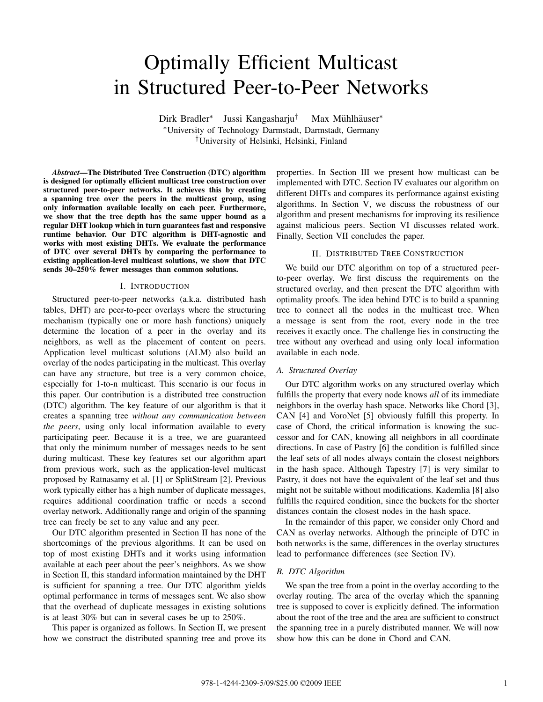# Optimally Efficient Multicast in Structured Peer-to-Peer Networks

Dirk Bradler<sup>\*</sup> Jussi Kangasharju<sup>†</sup> Max Mühlhäuser<sup>\*</sup> ∗University of Technology Darmstadt, Darmstadt, Germany †University of Helsinki, Helsinki, Finland

*Abstract***—The Distributed Tree Construction (DTC) algorithm is designed for optimally efficient multicast tree construction over structured peer-to-peer networks. It achieves this by creating a spanning tree over the peers in the multicast group, using only information available locally on each peer. Furthermore, we show that the tree depth has the same upper bound as a regular DHT lookup which in turn guarantees fast and responsive runtime behavior. Our DTC algorithm is DHT-agnostic and works with most existing DHTs. We evaluate the performance of DTC over several DHTs by comparing the performance to existing application-level multicast solutions, we show that DTC sends 30–250% fewer messages than common solutions.**

#### I. INTRODUCTION

Structured peer-to-peer networks (a.k.a. distributed hash tables, DHT) are peer-to-peer overlays where the structuring mechanism (typically one or more hash functions) uniquely determine the location of a peer in the overlay and its neighbors, as well as the placement of content on peers. Application level multicast solutions (ALM) also build an overlay of the nodes participating in the multicast. This overlay can have any structure, but tree is a very common choice, especially for 1-to-n multicast. This scenario is our focus in this paper. Our contribution is a distributed tree construction (DTC) algorithm. The key feature of our algorithm is that it creates a spanning tree *without any communication between the peers*, using only local information available to every participating peer. Because it is a tree, we are guaranteed that only the minimum number of messages needs to be sent during multicast. These key features set our algorithm apart from previous work, such as the application-level multicast proposed by Ratnasamy et al. [1] or SplitStream [2]. Previous work typically either has a high number of duplicate messages, requires additional coordination traffic or needs a second overlay network. Additionally range and origin of the spanning tree can freely be set to any value and any peer.

Our DTC algorithm presented in Section II has none of the shortcomings of the previous algorithms. It can be used on top of most existing DHTs and it works using information available at each peer about the peer's neighbors. As we show in Section II, this standard information maintained by the DHT is sufficient for spanning a tree. Our DTC algorithm yields optimal performance in terms of messages sent. We also show that the overhead of duplicate messages in existing solutions is at least 30% but can in several cases be up to 250%.

This paper is organized as follows. In Section II, we present how we construct the distributed spanning tree and prove its properties. In Section III we present how multicast can be implemented with DTC. Section IV evaluates our algorithm on different DHTs and compares its performance against existing algorithms. In Section V, we discuss the robustness of our algorithm and present mechanisms for improving its resilience against malicious peers. Section VI discusses related work. Finally, Section VII concludes the paper.

## II. DISTRIBUTED TREE CONSTRUCTION

We build our DTC algorithm on top of a structured peerto-peer overlay. We first discuss the requirements on the structured overlay, and then present the DTC algorithm with optimality proofs. The idea behind DTC is to build a spanning tree to connect all the nodes in the multicast tree. When a message is sent from the root, every node in the tree receives it exactly once. The challenge lies in constructing the tree without any overhead and using only local information available in each node.

### *A. Structured Overlay*

Our DTC algorithm works on any structured overlay which fulfills the property that every node knows *all* of its immediate neighbors in the overlay hash space. Networks like Chord [3], CAN [4] and VoroNet [5] obviously fulfill this property. In case of Chord, the critical information is knowing the successor and for CAN, knowing all neighbors in all coordinate directions. In case of Pastry [6] the condition is fulfilled since the leaf sets of all nodes always contain the closest neighbors in the hash space. Although Tapestry [7] is very similar to Pastry, it does not have the equivalent of the leaf set and thus might not be suitable without modifications. Kademlia [8] also fulfills the required condition, since the buckets for the shorter distances contain the closest nodes in the hash space.

In the remainder of this paper, we consider only Chord and CAN as overlay networks. Although the principle of DTC in both networks is the same, differences in the overlay structures lead to performance differences (see Section IV).

## *B. DTC Algorithm*

We span the tree from a point in the overlay according to the overlay routing. The area of the overlay which the spanning tree is supposed to cover is explicitly defined. The information about the root of the tree and the area are sufficient to construct the spanning tree in a purely distributed manner. We will now show how this can be done in Chord and CAN.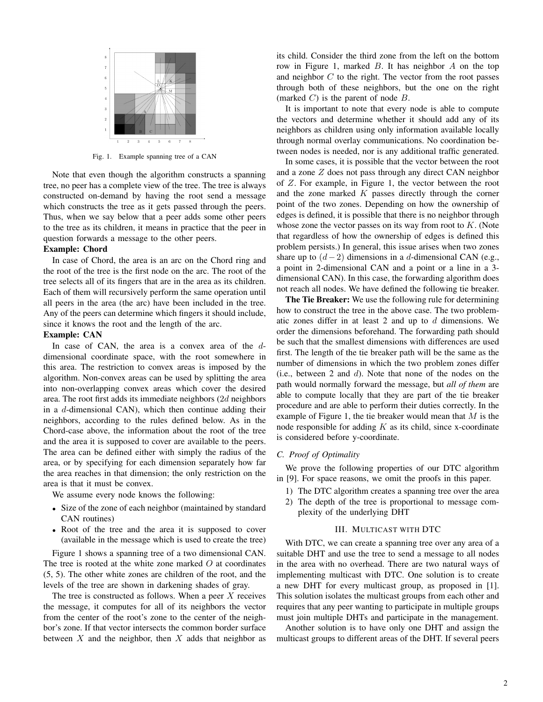

Fig. 1. Example spanning tree of a CAN

Note that even though the algorithm constructs a spanning tree, no peer has a complete view of the tree. The tree is always constructed on-demand by having the root send a message which constructs the tree as it gets passed through the peers. Thus, when we say below that a peer adds some other peers to the tree as its children, it means in practice that the peer in question forwards a message to the other peers.

## **Example: Chord**

In case of Chord, the area is an arc on the Chord ring and the root of the tree is the first node on the arc. The root of the tree selects all of its fingers that are in the area as its children. Each of them will recursively perform the same operation until all peers in the area (the arc) have been included in the tree. Any of the peers can determine which fingers it should include, since it knows the root and the length of the arc.

## **Example: CAN**

In case of CAN, the area is a convex area of the *d*dimensional coordinate space, with the root somewhere in this area. The restriction to convex areas is imposed by the algorithm. Non-convex areas can be used by splitting the area into non-overlapping convex areas which cover the desired area. The root first adds its immediate neighbors (2*d* neighbors in a *d*-dimensional CAN), which then continue adding their neighbors, according to the rules defined below. As in the Chord-case above, the information about the root of the tree and the area it is supposed to cover are available to the peers. The area can be defined either with simply the radius of the area, or by specifying for each dimension separately how far the area reaches in that dimension; the only restriction on the area is that it must be convex.

We assume every node knows the following:

- *•* Size of the zone of each neighbor (maintained by standard CAN routines)
- *•* Root of the tree and the area it is supposed to cover (available in the message which is used to create the tree)

Figure 1 shows a spanning tree of a two dimensional CAN. The tree is rooted at the white zone marked *O* at coordinates (5, 5). The other white zones are children of the root, and the levels of the tree are shown in darkening shades of gray.

The tree is constructed as follows. When a peer *X* receives the message, it computes for all of its neighbors the vector from the center of the root's zone to the center of the neighbor's zone. If that vector intersects the common border surface between *X* and the neighbor, then *X* adds that neighbor as its child. Consider the third zone from the left on the bottom row in Figure 1, marked *B*. It has neighbor *A* on the top and neighbor *C* to the right. The vector from the root passes through both of these neighbors, but the one on the right (marked *C*) is the parent of node *B*.

It is important to note that every node is able to compute the vectors and determine whether it should add any of its neighbors as children using only information available locally through normal overlay communications. No coordination between nodes is needed, nor is any additional traffic generated.

In some cases, it is possible that the vector between the root and a zone *Z* does not pass through any direct CAN neighbor of *Z*. For example, in Figure 1, the vector between the root and the zone marked *K* passes directly through the corner point of the two zones. Depending on how the ownership of edges is defined, it is possible that there is no neighbor through whose zone the vector passes on its way from root to *K*. (Note that regardless of how the ownership of edges is defined this problem persists.) In general, this issue arises when two zones share up to  $(d-2)$  dimensions in a *d*-dimensional CAN (e.g., a point in 2-dimensional CAN and a point or a line in a 3 dimensional CAN). In this case, the forwarding algorithm does not reach all nodes. We have defined the following tie breaker.

**The Tie Breaker:** We use the following rule for determining how to construct the tree in the above case. The two problematic zones differ in at least 2 and up to *d* dimensions. We order the dimensions beforehand. The forwarding path should be such that the smallest dimensions with differences are used first. The length of the tie breaker path will be the same as the number of dimensions in which the two problem zones differ (i.e., between 2 and *d*). Note that none of the nodes on the path would normally forward the message, but *all of them* are able to compute locally that they are part of the tie breaker procedure and are able to perform their duties correctly. In the example of Figure 1, the tie breaker would mean that *M* is the node responsible for adding *K* as its child, since x-coordinate is considered before y-coordinate.

## *C. Proof of Optimality*

We prove the following properties of our DTC algorithm in [9]. For space reasons, we omit the proofs in this paper.

- 1) The DTC algorithm creates a spanning tree over the area
- 2) The depth of the tree is proportional to message complexity of the underlying DHT

#### III. MULTICAST WITH DTC

With DTC, we can create a spanning tree over any area of a suitable DHT and use the tree to send a message to all nodes in the area with no overhead. There are two natural ways of implementing multicast with DTC. One solution is to create a new DHT for every multicast group, as proposed in [1]. This solution isolates the multicast groups from each other and requires that any peer wanting to participate in multiple groups must join multiple DHTs and participate in the management.

Another solution is to have only one DHT and assign the multicast groups to different areas of the DHT. If several peers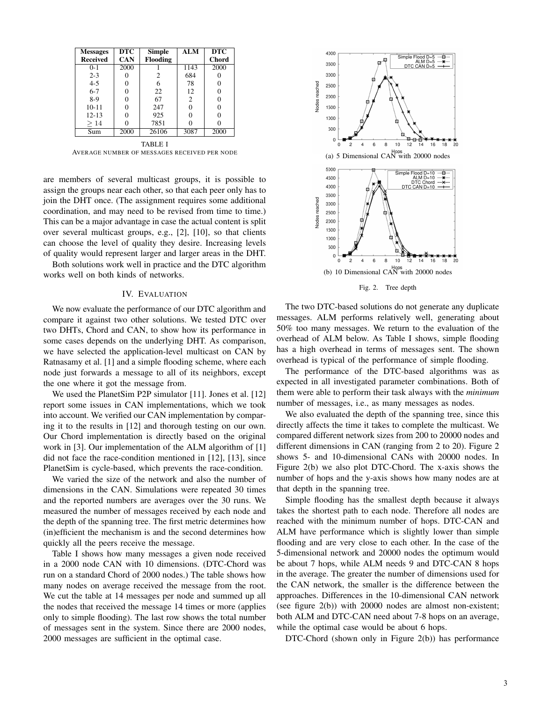| <b>Messages</b> | <b>DTC</b> | <b>Simple</b> | <b>ALM</b> | <b>DTC</b>   |
|-----------------|------------|---------------|------------|--------------|
| Received        | <b>CAN</b> | Flooding      |            | <b>Chord</b> |
| $0-1$           | 2000       |               | 1143       | 2000         |
| $2 - 3$         |            |               | 684        |              |
| $4 - 5$         | 0          | 6             | 78         |              |
| $6 - 7$         | 0          | 22            | 12         |              |
| $8-9$           | $\theta$   | 67            | 2          |              |
| $10 - 11$       | $\theta$   | 247           | 0          |              |
| $12 - 13$       | 0          | 925           | 0          |              |
| >14             |            | 7851          |            |              |
| Sum             | 2000       | 26106         | 3087       | 2000         |

TABLE I AVERAGE NUMBER OF MESSAGES RECEIVED PER NODE

are members of several multicast groups, it is possible to assign the groups near each other, so that each peer only has to join the DHT once. (The assignment requires some additional coordination, and may need to be revised from time to time.) This can be a major advantage in case the actual content is split over several multicast groups, e.g., [2], [10], so that clients can choose the level of quality they desire. Increasing levels of quality would represent larger and larger areas in the DHT.

Both solutions work well in practice and the DTC algorithm works well on both kinds of networks.

## IV. EVALUATION

We now evaluate the performance of our DTC algorithm and compare it against two other solutions. We tested DTC over two DHTs, Chord and CAN, to show how its performance in some cases depends on the underlying DHT. As comparison, we have selected the application-level multicast on CAN by Ratnasamy et al. [1] and a simple flooding scheme, where each node just forwards a message to all of its neighbors, except the one where it got the message from.

We used the PlanetSim P2P simulator [11]. Jones et al. [12] report some issues in CAN implementations, which we took into account. We verified our CAN implementation by comparing it to the results in [12] and thorough testing on our own. Our Chord implementation is directly based on the original work in [3]. Our implementation of the ALM algorithm of [1] did not face the race-condition mentioned in [12], [13], since PlanetSim is cycle-based, which prevents the race-condition.

We varied the size of the network and also the number of dimensions in the CAN. Simulations were repeated 30 times and the reported numbers are averages over the 30 runs. We measured the number of messages received by each node and the depth of the spanning tree. The first metric determines how (in)efficient the mechanism is and the second determines how quickly all the peers receive the message.

Table I shows how many messages a given node received in a 2000 node CAN with 10 dimensions. (DTC-Chord was run on a standard Chord of 2000 nodes.) The table shows how many nodes on average received the message from the root. We cut the table at 14 messages per node and summed up all the nodes that received the message 14 times or more (applies only to simple flooding). The last row shows the total number of messages sent in the system. Since there are 2000 nodes, 2000 messages are sufficient in the optimal case.



Fig. 2. Tree depth

The two DTC-based solutions do not generate any duplicate messages. ALM performs relatively well, generating about 50% too many messages. We return to the evaluation of the overhead of ALM below. As Table I shows, simple flooding has a high overhead in terms of messages sent. The shown overhead is typical of the performance of simple flooding.

The performance of the DTC-based algorithms was as expected in all investigated parameter combinations. Both of them were able to perform their task always with the *minimum* number of messages, i.e., as many messages as nodes.

We also evaluated the depth of the spanning tree, since this directly affects the time it takes to complete the multicast. We compared different network sizes from 200 to 20000 nodes and different dimensions in CAN (ranging from 2 to 20). Figure 2 shows 5- and 10-dimensional CANs with 20000 nodes. In Figure 2(b) we also plot DTC-Chord. The x-axis shows the number of hops and the y-axis shows how many nodes are at that depth in the spanning tree.

Simple flooding has the smallest depth because it always takes the shortest path to each node. Therefore all nodes are reached with the minimum number of hops. DTC-CAN and ALM have performance which is slightly lower than simple flooding and are very close to each other. In the case of the 5-dimensional network and 20000 nodes the optimum would be about 7 hops, while ALM needs 9 and DTC-CAN 8 hops in the average. The greater the number of dimensions used for the CAN network, the smaller is the difference between the approaches. Differences in the 10-dimensional CAN network (see figure 2(b)) with 20000 nodes are almost non-existent; both ALM and DTC-CAN need about 7-8 hops on an average, while the optimal case would be about 6 hops.

DTC-Chord (shown only in Figure 2(b)) has performance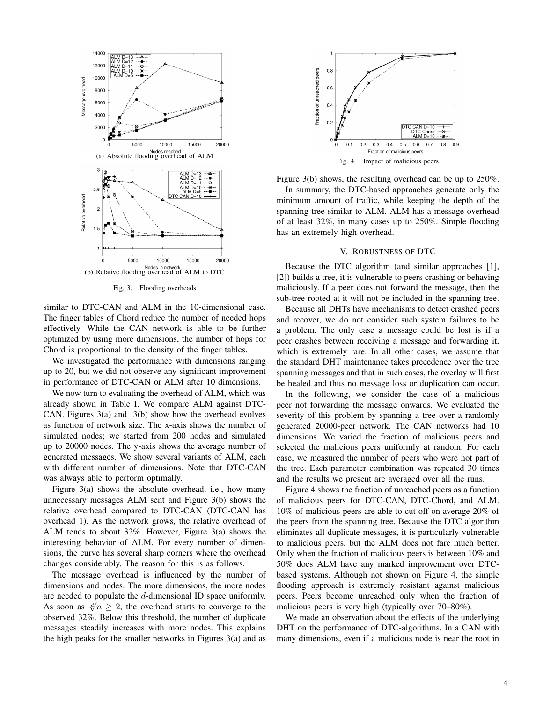

Fig. 3. Flooding overheads

similar to DTC-CAN and ALM in the 10-dimensional case. The finger tables of Chord reduce the number of needed hops effectively. While the CAN network is able to be further optimized by using more dimensions, the number of hops for Chord is proportional to the density of the finger tables.

We investigated the performance with dimensions ranging up to 20, but we did not observe any significant improvement in performance of DTC-CAN or ALM after 10 dimensions.

We now turn to evaluating the overhead of ALM, which was already shown in Table I. We compare ALM against DTC-CAN. Figures 3(a) and 3(b) show how the overhead evolves as function of network size. The x-axis shows the number of simulated nodes; we started from 200 nodes and simulated up to 20000 nodes. The y-axis shows the average number of generated messages. We show several variants of ALM, each with different number of dimensions. Note that DTC-CAN was always able to perform optimally.

Figure 3(a) shows the absolute overhead, i.e., how many unnecessary messages ALM sent and Figure 3(b) shows the relative overhead compared to DTC-CAN (DTC-CAN has overhead 1). As the network grows, the relative overhead of ALM tends to about 32%. However, Figure 3(a) shows the interesting behavior of ALM. For every number of dimensions, the curve has several sharp corners where the overhead changes considerably. The reason for this is as follows.

The message overhead is influenced by the number of dimensions and nodes. The more dimensions, the more nodes are needed to populate the *d*-dimensional ID space uniformly. As soon as  $\sqrt[d]{n} \geq 2$ , the overhead starts to converge to the observed 32%. Below this threshold, the number of duplicate messages steadily increases with more nodes. This explains the high peaks for the smaller networks in Figures 3(a) and as



Figure 3(b) shows, the resulting overhead can be up to 250%. In summary, the DTC-based approaches generate only the minimum amount of traffic, while keeping the depth of the spanning tree similar to ALM. ALM has a message overhead of at least 32%, in many cases up to 250%. Simple flooding has an extremely high overhead.

#### V. ROBUSTNESS OF DTC

Because the DTC algorithm (and similar approaches [1], [2]) builds a tree, it is vulnerable to peers crashing or behaving maliciously. If a peer does not forward the message, then the sub-tree rooted at it will not be included in the spanning tree.

Because all DHTs have mechanisms to detect crashed peers and recover, we do not consider such system failures to be a problem. The only case a message could be lost is if a peer crashes between receiving a message and forwarding it, which is extremely rare. In all other cases, we assume that the standard DHT maintenance takes precedence over the tree spanning messages and that in such cases, the overlay will first be healed and thus no message loss or duplication can occur.

In the following, we consider the case of a malicious peer not forwarding the message onwards. We evaluated the severity of this problem by spanning a tree over a randomly generated 20000-peer network. The CAN networks had 10 dimensions. We varied the fraction of malicious peers and selected the malicious peers uniformly at random. For each case, we measured the number of peers who were not part of the tree. Each parameter combination was repeated 30 times and the results we present are averaged over all the runs.

Figure 4 shows the fraction of unreached peers as a function of malicious peers for DTC-CAN, DTC-Chord, and ALM. 10% of malicious peers are able to cut off on average 20% of the peers from the spanning tree. Because the DTC algorithm eliminates all duplicate messages, it is particularly vulnerable to malicious peers, but the ALM does not fare much better. Only when the fraction of malicious peers is between 10% and 50% does ALM have any marked improvement over DTCbased systems. Although not shown on Figure 4, the simple flooding approach is extremely resistant against malicious peers. Peers become unreached only when the fraction of malicious peers is very high (typically over 70–80%).

We made an observation about the effects of the underlying DHT on the performance of DTC-algorithms. In a CAN with many dimensions, even if a malicious node is near the root in